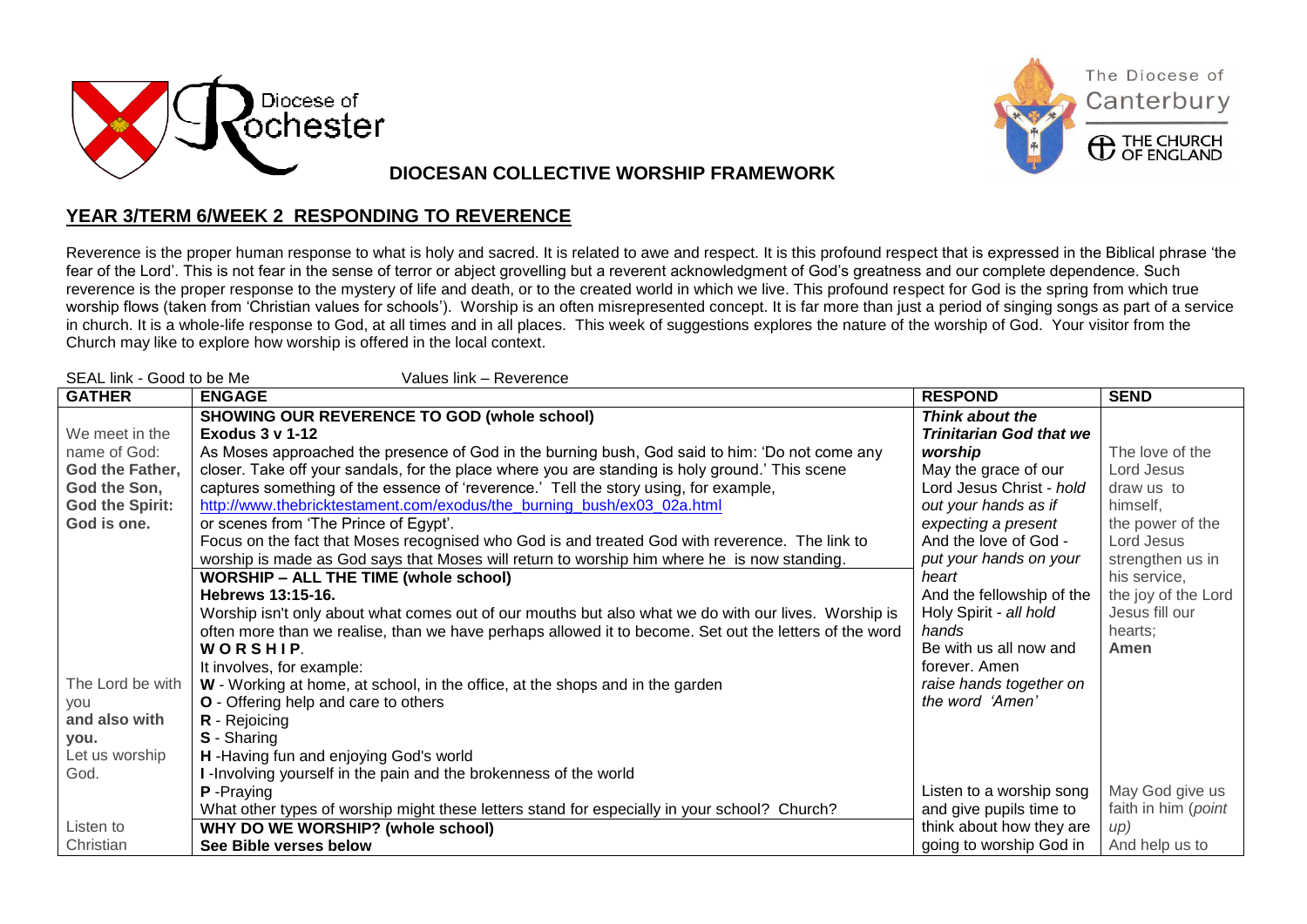



The Diocese of

**DIOCESAN COLLECTIVE WORSHIP FRAMEWORK** 

## **YEAR 3/TERM 6/WEEK 2 RESPONDING TO REVERENCE**

Reverence is the proper human response to what is holy and sacred. It is related to awe and respect. It is this profound respect that is expressed in the Biblical phrase 'the fear of the Lord'. This is not fear in the sense of terror or abject grovelling but a reverent acknowledgment of God's greatness and our complete dependence. Such reverence is the proper response to the mystery of life and death, or to the created world in which we live. This profound respect for God is the spring from which true worship flows (taken from 'Christian values for schools'). Worship is an often misrepresented concept. It is far more than just a period of singing songs as part of a service in church. It is a whole-life response to God, at all times and in all places. This week of suggestions explores the nature of the worship of God. Your visitor from the Church may like to explore how worship is offered in the local context.

| SEAL link - Good to be Me<br>Values link - Reverence |                                                                                                        |                                |                     |  |
|------------------------------------------------------|--------------------------------------------------------------------------------------------------------|--------------------------------|---------------------|--|
| <b>GATHER</b>                                        | <b>ENGAGE</b>                                                                                          | <b>RESPOND</b>                 | <b>SEND</b>         |  |
|                                                      | <b>SHOWING OUR REVERENCE TO GOD (whole school)</b>                                                     | Think about the                |                     |  |
| We meet in the                                       | <b>Exodus 3 v 1-12</b>                                                                                 | <b>Trinitarian God that we</b> |                     |  |
| name of God:                                         | As Moses approached the presence of God in the burning bush, God said to him: 'Do not come any         | worship                        | The love of the     |  |
| God the Father,                                      | closer. Take off your sandals, for the place where you are standing is holy ground.' This scene        | May the grace of our           | Lord Jesus          |  |
| God the Son,                                         | captures something of the essence of 'reverence.' Tell the story using, for example,                   | Lord Jesus Christ - hold       | draw us to          |  |
| <b>God the Spirit:</b>                               | http://www.thebricktestament.com/exodus/the burning bush/ex03 02a.html                                 | out your hands as if           | himself,            |  |
| God is one.                                          | or scenes from 'The Prince of Egypt'.                                                                  | expecting a present            | the power of the    |  |
|                                                      | Focus on the fact that Moses recognised who God is and treated God with reverence. The link to         | And the love of God -          | Lord Jesus          |  |
|                                                      | worship is made as God says that Moses will return to worship him where he is now standing.            | put your hands on your         | strengthen us in    |  |
|                                                      | <b>WORSHIP - ALL THE TIME (whole school)</b>                                                           | heart                          | his service,        |  |
|                                                      | Hebrews 13:15-16.                                                                                      | And the fellowship of the      | the joy of the Lord |  |
|                                                      | Worship isn't only about what comes out of our mouths but also what we do with our lives. Worship is   | Holy Spirit - all hold         | Jesus fill our      |  |
|                                                      | often more than we realise, than we have perhaps allowed it to become. Set out the letters of the word | hands                          | hearts;             |  |
|                                                      | WORSHIP.                                                                                               | Be with us all now and         | Amen                |  |
|                                                      | It involves, for example:                                                                              | forever. Amen                  |                     |  |
| The Lord be with                                     | W - Working at home, at school, in the office, at the shops and in the garden                          | raise hands together on        |                     |  |
| <b>VOU</b>                                           | <b>O</b> - Offering help and care to others                                                            | the word 'Amen'                |                     |  |
| and also with                                        | R - Rejoicing                                                                                          |                                |                     |  |
| you.                                                 | S - Sharing                                                                                            |                                |                     |  |
| Let us worship                                       | H -Having fun and enjoying God's world                                                                 |                                |                     |  |
| God.                                                 | I-Involving yourself in the pain and the brokenness of the world                                       |                                |                     |  |
|                                                      | <b>P</b> - Praying                                                                                     | Listen to a worship song       | May God give us     |  |
|                                                      | What other types of worship might these letters stand for especially in your school? Church?           | and give pupils time to        | faith in him (point |  |
| Listen to                                            | WHY DO WE WORSHIP? (whole school)                                                                      | think about how they are       | up)                 |  |
| Christian                                            | See Bible verses below                                                                                 | going to worship God in        | And help us to      |  |